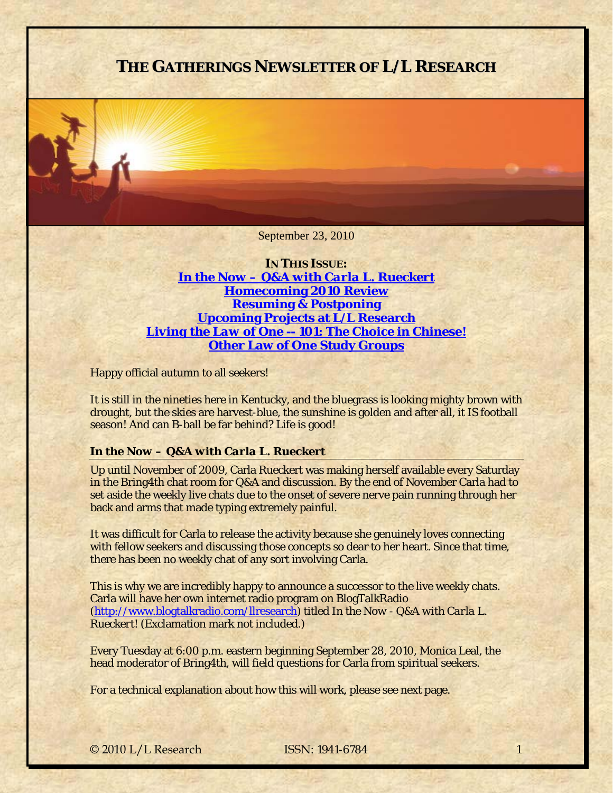# **THE GATHERINGS NEWSLETTER OF L/L RESEARCH**

September 23, 2010

**IN THIS ISSUE:**  *[In the Now – Q&A with Carla L. Rueckert](#page-0-0)* **[Homecoming 2010 Review](#page-1-0) [Resuming & Postponing](#page-3-0) [Upcoming Projects at L/L Research](#page-4-0)** *[Living the Law of One -- 101: The Choice](#page-4-1)* **in Chinese! [Other Law of One Study Groups](#page-5-0)**

Happy official autumn to all seekers!

It is still in the nineties here in Kentucky, and the bluegrass is looking mighty brown with drought, but the skies are harvest-blue, the sunshine is golden and after all, it IS football season! And can B-ball be far behind? Life is good!

# <span id="page-0-0"></span>*In the Now – Q&A with Carla L. Rueckert*

Up until November of 2009, Carla Rueckert was making herself available every Saturday in the Bring4th chat room for Q&A and discussion. By the end of November Carla had to set aside the weekly live chats due to the onset of severe nerve pain running through her back and arms that made typing extremely painful.

It was difficult for Carla to release the activity because she genuinely loves connecting with fellow seekers and discussing those concepts so dear to her heart. Since that time, there has been no weekly chat of any sort involving Carla.

This is why we are incredibly happy to announce a successor to the live weekly chats. Carla will have her own internet radio program on BlogTalkRadio [\(http://www.blogtalkradio.com/llresearch](http://www.blogtalkradio.com/llresearch)) titled *In the Now - Q&A with Carla L. Rueckert*! (Exclamation mark not included.)

Every Tuesday at 6:00 p.m. eastern beginning September 28, 2010, Monica Leal, the head moderator of Bring4th, will field questions for Carla from spiritual seekers.

For a technical explanation about how this will work, please see next page.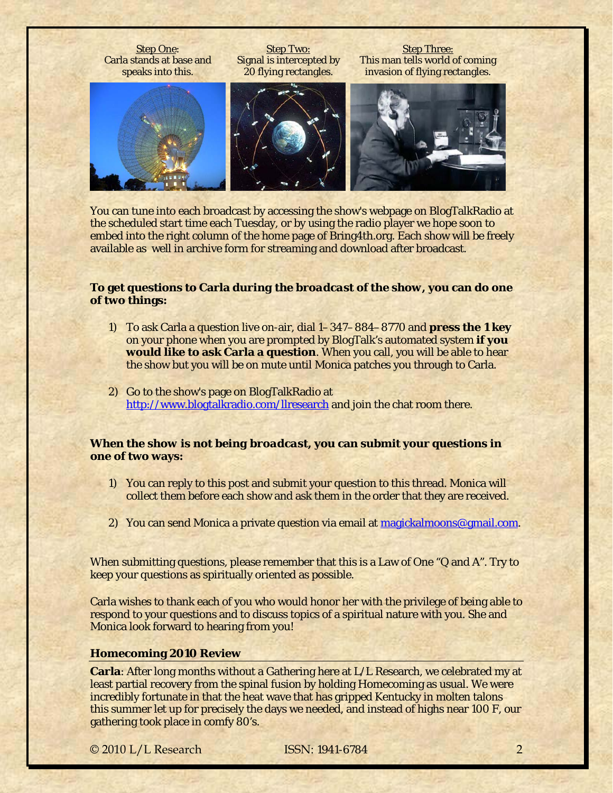

You can tune into each broadcast by accessing the show's webpage on BlogTalkRadio at the scheduled start time each Tuesday, or by using the radio player we hope soon to embed into the right column of the home page of Bring4th.org. Each show will be freely available as well in archive form for streaming and download after broadcast.

# **To get questions to Carla** *during the broadcast of the show***, you can do one of two things:**

- 1) To ask Carla a question live on-air, dial 1–347–884–8770 and **press the 1 key**  on your phone when you are prompted by BlogTalk's automated system **if you would like to ask Carla a question**. When you call, you will be able to hear the show but you will be on mute until Monica patches you through to Carla.
- 2) Go to the show's page on BlogTalkRadio at <http://www.blogtalkradio.com/llresearch> and join the chat room there.

# *When the show is not being broadcast***, you can submit your questions in one of two ways:**

- 1) You can reply to this post and submit your question to this thread. Monica will collect them before each show and ask them in the order that they are received.
- 2) You can send Monica a private question via email at [magickalmoons@gmail.com](mailto:magickalmoons@gmail.com).

When submitting questions, please remember that this is a Law of One "Q and A". Try to keep your questions as spiritually oriented as possible.

Carla wishes to thank each of you who would honor her with the privilege of being able to respond to your questions and to discuss topics of a spiritual nature with you. She and Monica look forward to hearing from you!

### <span id="page-1-0"></span>**Homecoming 2010 Review**

**Carla**: After long months without a Gathering here at L/L Research, we celebrated my at least partial recovery from the spinal fusion by holding Homecoming as usual. We were incredibly fortunate in that the heat wave that has gripped Kentucky in molten talons this summer let up for precisely the days we needed, and instead of highs near 100 F, our gathering took place in comfy 80's.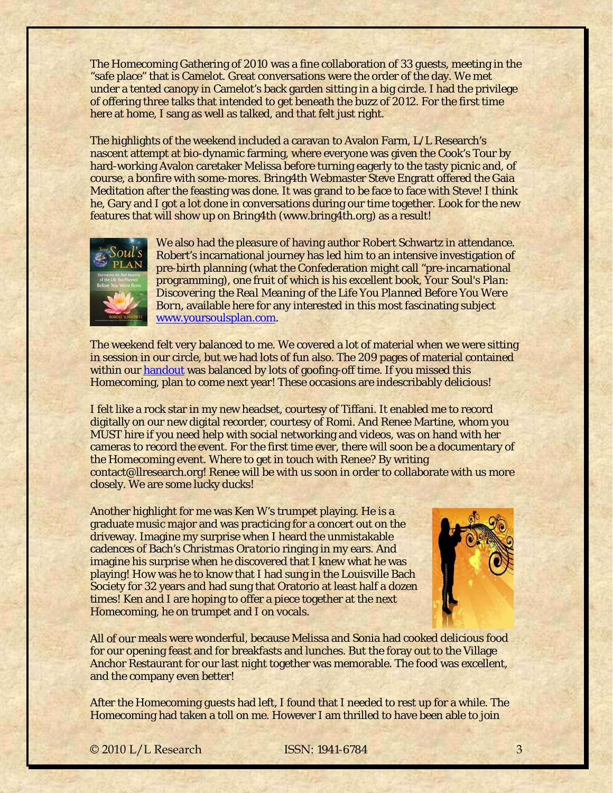The Homecoming Gathering of 2010 was a fine collaboration of 33 guests, meeting in the "safe place" that is Camelot. Great conversations were the order of the day. We met under a tented canopy in Camelot's back garden sitting in a big circle. I had the privilege of offering three talks that intended to get beneath the buzz of 2012. For the first time here at home, I sang as well as talked, and that felt just right.

The highlights of the weekend included a caravan to Avalon Farm, L/L Research's nascent attempt at bio-dynamic farming, where everyone was given the Cook's Tour by hard-working Avalon caretaker Melissa before turning eagerly to the tasty picnic and, of course, a bonfire with some-mores. Bring4th Webmaster Steve Engratt offered the Gaia Meditation after the feasting was done. It was grand to be face to face with Steve! I think he, Gary and I got a lot done in conversations during our time together. Look for the new features that will show up on Bring4th (www.bring4th.org) as a result!



We also had the pleasure of having author Robert Schwartz in attendance. Robert's incarnational journey has led him to an intensive investigation of pre-birth planning (what the Confederation might call "pre-incarnational programming), one fruit of which is his excellent book, *Your Soul's Plan: Discovering the Real Meaning of the Life You Planned Before You Were Born,* available here for any interested in this most fascinating subject [www.yoursoulsplan.com](http://www.yoursoulsplan.com/).

The weekend felt very balanced to me. We covered a lot of material when we were sitting in session in our circle, but we had lots of fun also. The 209 pages of material contained within our [handout](http://www.llresearch.org/homecomings/homecoming_2010/homecoming_2010_unified_handout.pdf) was balanced by lots of goofing-off time. If you missed this Homecoming, plan to come next year! These occasions are indescribably delicious!

I felt like a rock star in my new headset, courtesy of Tiffani. It enabled me to record digitally on our new digital recorder, courtesy of Romi. And Renee Martine, whom you MUST hire if you need help with social networking and videos, was on hand with her cameras to record the event. For the first time ever, there will soon be a documentary of the Homecoming event. Where to get in touch with Renee? By writing contact@llresearch.org! Renee will be with us soon in order to collaborate with us more closely. We are some lucky ducks!

Another highlight for me was Ken W's trumpet playing. He is a graduate music major and was practicing for a concert out on the driveway. Imagine my surprise when I heard the unmistakable cadences of Bach's *Christmas Oratorio* ringing in my ears. And imagine his surprise when he discovered that I knew what he was playing! How was he to know that I had sung in the Louisville Bach Society for 32 years and had sung that Oratorio at least half a dozen times! Ken and I are hoping to offer a piece together at the next Homecoming, he on trumpet and I on vocals.



All of our meals were wonderful, because Melissa and Sonia had cooked delicious food for our opening feast and for breakfasts and lunches. But the foray out to the Village Anchor Restaurant for our last night together was memorable. The food was excellent, and the company even better!

After the Homecoming guests had left, I found that I needed to rest up for a while. The Homecoming had taken a toll on me. However I am thrilled to have been able to join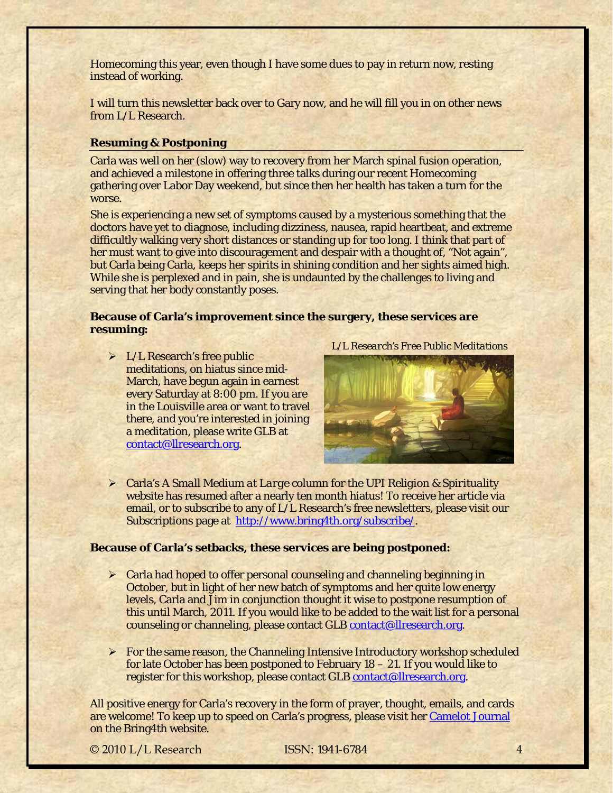Homecoming this year, even though I have some dues to pay in return now, resting instead of working.

I will turn this newsletter back over to Gary now, and he will fill you in on other news from L/L Research.

### <span id="page-3-0"></span>**Resuming & Postponing**

Carla was well on her (slow) way to recovery from her March spinal fusion operation, and achieved a milestone in offering three talks during our recent Homecoming gathering over Labor Day weekend, but since then her health has taken a turn for the worse.

She is experiencing a new set of symptoms caused by a mysterious something that the doctors have yet to diagnose, including dizziness, nausea, rapid heartbeat, and extreme difficultly walking very short distances or standing up for too long. I think that part of her must want to give into discouragement and despair with a thought of, "Not again", but Carla being Carla, keeps her spirits in shining condition and her sights aimed high. While she is perplexed and in pain, she is undaunted by the challenges to living and serving that her body constantly poses.

### **Because of Carla's improvement since the surgery, these services are resuming:**

 $\triangleright$  L/L Research's free public meditations, on hiatus since mid-March, have begun again in earnest every Saturday at 8:00 pm. If you are in the Louisville area or want to travel there, and you're interested in joining a meditation, please write GLB at [contact@llresearch.org](mailto:contact@llresearch.org).

*L/L Research's Free Public Meditations*



 Carla's *A Small Medium at Large* column for the *UPI Religion & Spirituality* website has resumed after a nearly ten month hiatus! To receive her article via email, or to subscribe to any of L/L Research's free newsletters, please visit our Subscriptions page at [http://www.bring4th.org/subscribe/.](http://www.bring4th.org/subscribe/)

# **Because of Carla's setbacks, these services are being postponed:**

- $\triangleright$  Carla had hoped to offer personal counseling and channeling beginning in October, but in light of her new batch of symptoms and her quite low energy levels, Carla and Jim in conjunction thought it wise to postpone resumption of this until March, 2011. If you would like to be added to the wait list for a personal counseling or channeling, please contact GLB [contact@llresearch.org](mailto:contact@llresearch.org).
- $\triangleright$  For the same reason, the Channeling Intensive Introductory workshop scheduled for late October has been postponed to February 18 – 21. If you would like to register for this workshop, please contact GLB [contact@llresearch.org.](mailto:contact@llresearch.org)

All positive energy for Carla's recovery in the form of prayer, thought, emails, and cards are welcome! To keep up to speed on Carla's progress, please visit her [Camelot Journal](http://www.bring4th.org/members.php?uid=72&catid=all) on the Bring4th website.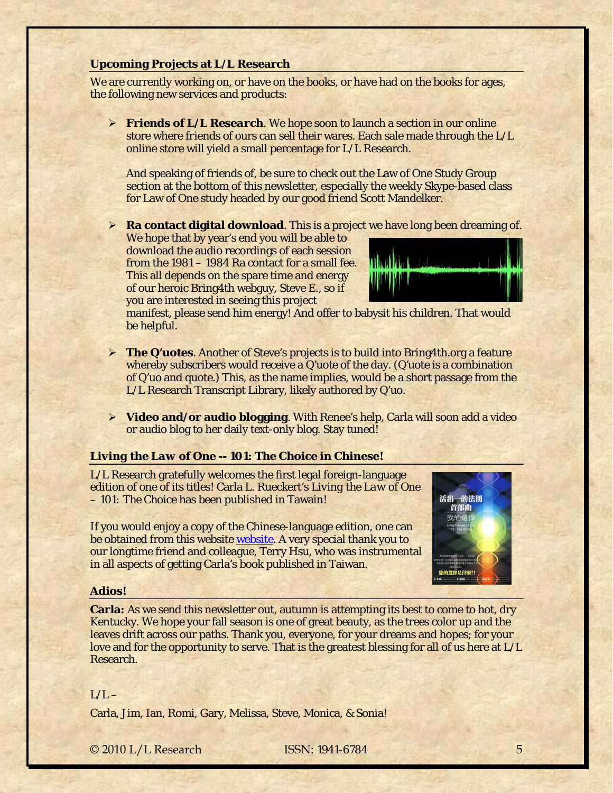### <span id="page-4-0"></span>**Upcoming Projects at L/L Research**

We are currently working on, or have on the books, or have had on the books for ages, the following new services and products:

 *Friends of L/L Research*. We hope soon to launch a section in our online store where *friends of* ours can sell their wares. Each sale made through the L/L online store will yield a small percentage for L/L Research.

And speaking of *friends of*, be sure to check out the Law of One Study Group section at the bottom of this newsletter, especially the weekly Skype-based class for Law of One study headed by our good friend Scott Mandelker.

**Ra contact digital download**. This is a project we have long been dreaming of.

We hope that by year's end you will be able to download the audio recordings of each session from the 1981 – 1984 Ra contact for a small fee. This all depends on the spare time and energy of our heroic Bring4th webguy, Steve E., so if you are interested in seeing this project



manifest, please send him energy! And offer to babysit his children. That would be helpful.

- **The Q'uotes**. Another of Steve's projects is to build into Bring4th.org a feature whereby subscribers would receive a Q'uote of the day. (*Q'uote* is a combination of Q'uo and quote.) This, as the name implies, would be a short passage from the L/L Research Transcript Library, likely authored by Q'uo.
- **Video and/or audio blogging**. With Renee's help, Carla will soon add a video or audio blog to her daily text-only blog. Stay tuned!

### <span id="page-4-1"></span>*Living the Law of One -- 101: The Choice* **in Chinese!**

L/L Research gratefully welcomes the first legal foreign-language edition of one of its titles! Carla L. Rueckert's *Living the Law of One – 101: The Choice* has been published in Tawain!

If you would enjoy a copy of the Chinese-language edition, one can be obtained from this website [website.](http://soultw.com/ufo/modules/tinyd0/) A very special thank you to our longtime friend and colleague, Terry Hsu, who was instrumental in all aspects of getting Carla's book published in Taiwan.



#### **Adios!**

**Carla:** As we send this newsletter out, autumn is attempting its best to come to hot, dry Kentucky. We hope your fall season is one of great beauty, as the trees color up and the leaves drift across our paths. Thank you, everyone, for your dreams and hopes; for your love and for the opportunity to serve. That is the greatest blessing for all of us here at L/L Research.

### $L/L -$

Carla, Jim, Ian, Romi, Gary, Melissa, Steve, Monica, & Sonia!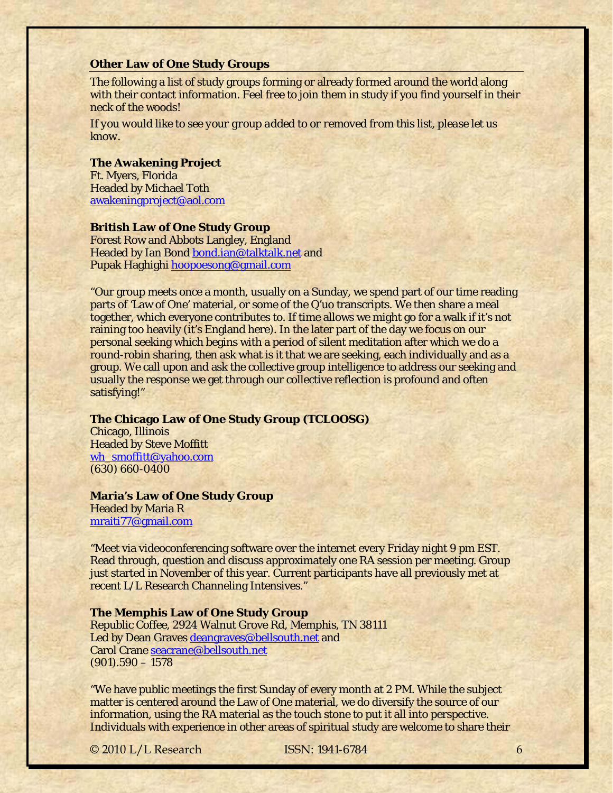#### <span id="page-5-0"></span>**Other Law of One Study Groups**

The following a list of study groups forming or already formed around the world along with their contact information. Feel free to join them in study if you find yourself in their neck of the woods!

*If you would like to see your group added to or removed from this list, please let us know.*

#### **The Awakening Project**

Ft. Myers, Florida Headed by Michael Toth [awakeningproject@aol.com](mailto:awakeningproject@aol.com)

#### **British Law of One Study Group**

Forest Row and Abbots Langley, England Headed by Ian Bond [bond.ian@talktalk.net](mailto:bond.ian@talktalk.net) and Pupak Haghighi [hoopoesong@gmail.com](mailto:hoopoesong@gmail.com)

"Our group meets once a month, usually on a Sunday, we spend part of our time reading parts of 'Law of One' material, or some of the Q'uo transcripts. We then share a meal together, which everyone contributes to. If time allows we might go for a walk if it's not raining too heavily (it's England here). In the later part of the day we focus on our personal seeking which begins with a period of silent meditation after which we do a round-robin sharing, then ask what is it that we are seeking, each individually and as a group. We call upon and ask the collective group intelligence to address our seeking and usually the response we get through our collective reflection is profound and often satisfying!"

### **The Chicago Law of One Study Group (TCLOOSG)**

Chicago, Illinois Headed by Steve Moffitt [wh\\_smoffitt@yahoo.com](mailto:wh_smoffitt@yahoo.com) (630) 660-0400

# **Maria's Law of One Study Group**

Headed by Maria R [mraiti77@gmail.com](mailto:mraiti77@gmail.com)

"Meet via videoconferencing software over the internet every Friday night 9 pm EST. Read through, question and discuss approximately one RA session per meeting. Group just started in November of this year. Current participants have all previously met at recent L/L Research Channeling Intensives."

#### **The Memphis Law of One Study Group**

Republic Coffee, 2924 Walnut Grove Rd, Memphis, TN 38111 Led by Dean Graves [deangraves@bellsouth.net](mailto:deangraves@bellsouth.net) and Carol Crane [seacrane@bellsouth.net](mailto:seacrane@bellsouth.net)  $(901).590 - 1578$ 

"We have public meetings the first Sunday of every month at 2 PM. While the subject matter is centered around the Law of One material, we do diversify the source of our information, using the RA material as the touch stone to put it all into perspective. Individuals with experience in other areas of spiritual study are welcome to share their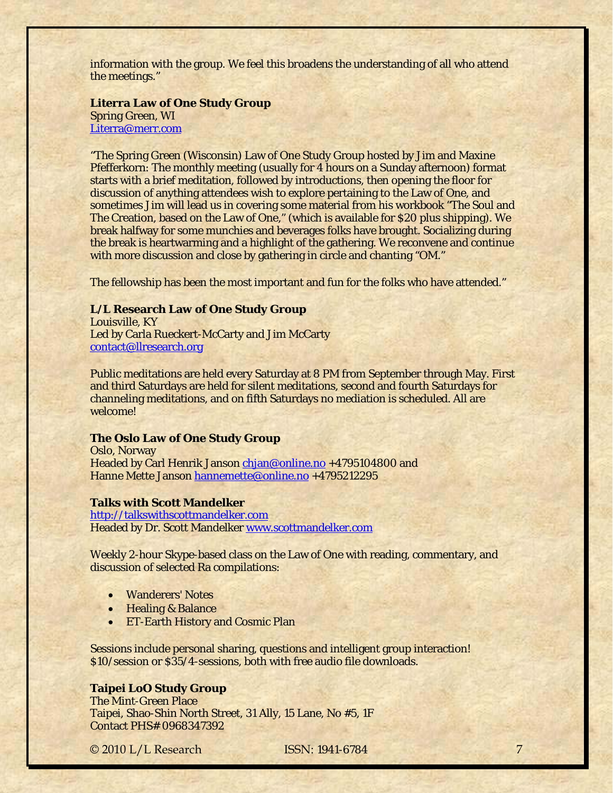information with the group. We feel this broadens the understanding of all who attend the meetings."

### **Literra Law of One Study Group**

Spring Green, WI [Literra@merr.com](mailto:Literra@merr.com)

"The Spring Green (Wisconsin) Law of One Study Group hosted by Jim and Maxine Pfefferkorn: The monthly meeting (usually for 4 hours on a Sunday afternoon) format starts with a brief meditation, followed by introductions, then opening the floor for discussion of anything attendees wish to explore pertaining to the Law of One, and sometimes Jim will lead us in covering some material from his workbook "The Soul and The Creation, based on the Law of One," (which is available for \$20 plus shipping). We break halfway for some munchies and beverages folks have brought. Socializing during the break is heartwarming and a highlight of the gathering. We reconvene and continue with more discussion and close by gathering in circle and chanting "OM."

The fellowship has been the most important and fun for the folks who have attended."

### **L/L Research Law of One Study Group**

Louisville, KY Led by Carla Rueckert-McCarty and Jim McCarty [contact@llresearch.org](mailto:contact@llresearch.org)

Public meditations are held every Saturday at 8 PM from September through May. First and third Saturdays are held for silent meditations, second and fourth Saturdays for channeling meditations, and on fifth Saturdays no mediation is scheduled. All are welcome!

#### **The Oslo Law of One Study Group**

Oslo, Norway Headed by Carl Henrik Janson [chjan@online.no](mailto:chjan@online.no) +4795104800 and Hanne Mette Janson [hannemette@online.no](mailto:hannemette@online.no) +4795212295

### **Talks with Scott Mandelker**

[http://talkswithscottmandelker.com](http://talkswithscottmandelker.com/)  Headed by Dr. Scott Mandelker [www.scottmandelker.com](http://www.scottmandelker.com/)

Weekly 2-hour Skype-based class on the Law of One with reading, commentary, and discussion of selected Ra compilations:

- Wanderers' Notes
- Healing & Balance
- ET-Earth History and Cosmic Plan

Sessions include personal sharing, questions and intelligent group interaction! \$10/session or \$35/4-sessions, both with free audio file downloads.

# **Taipei LoO Study Group**

The Mint-Green Place Taipei, Shao-Shin North Street, 31 Ally, 15 Lane, No #5, 1F Contact PHS# 0968347392